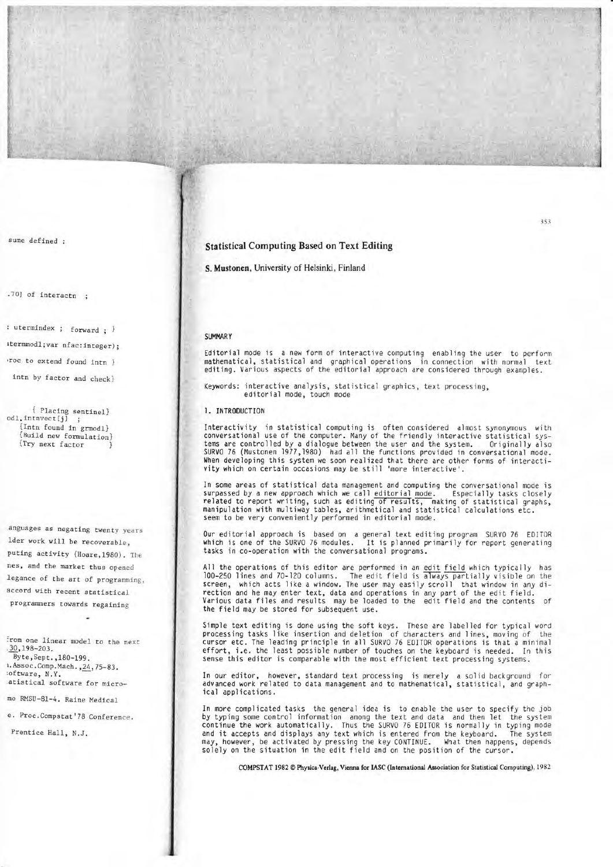## **Statistical Computing Based on Text Editing**

S. Mustonen, University of Helsinki, Finland

## **SUMMARY**

Editorial mode is a new form of interactive computing enabling the user to perform mathematical, statistical and graphical operations in connection with normal text editing. Various aspects of the editorial approach are considered through examples.

Keywords: interactive analysis, statistical graphics, text processing, editorial mode, touch mode

#### 1. INTRODUCTION

Interactivity in statistical computing is often considered almost synonymous with conversational use of the computer. Many of the friendly interactive statistical systems are controlled by a dialogue between the user and the system. Originally also SURVO 76 (Mustonen 1977, 1980) had all the functions provided in conversational mode. When developing this system we soon realized that there are other forms of interactivity which on certain occasions may be still 'more interactive'.

In some areas of statistical data management and computing the conversational mode is surpassed by a new approach which we call editorial mode. Especially tasks closely related to report writing, such as editing of results, making of statistical graphs, manipulation with multiway tables, arithmetical and statistical calculations etc. seem to be very conveniently performed in editorial mode.

Our editorial approach is based on a general text editing program SURVO 76 EDITOR which is one of the SURVO 76 modules. It is planned primarily for report generating tasks in co-operation with the conversational programs.

All the operations of this editor are performed in an edit field which typically has 100-250 lines and 70-120 columns. The edit field is always partially visible on the screen, which acts like a window. The user may easily scroll that window in any direction and he may enter text, data and operations in any part of the edit field. Various data files and results may be loaded to the edit field and the contents of the field may be stored for subsequent use.

Simple text editing is done using the soft keys. These are labelled for typical word processing tasks like insertion and deletion of characters and lines, moving of the cursor etc. The leading principle in all SURVO 76 EDITOR operations is that a minimal effort, i.e. the least possible number of touches on the keyboard is needed. In this sense this editor is comparable with the most efficient text processing systems.

In our editor, however, standard text processing is merely a solid background for advanced work related to data management and to mathematical, statistical, and graphical applications.

In more complicated tasks the general idea is to enable the user to specify the job by typing some control information among the text and data and then let the system continue the work automatically. Thus the SURVO 76 EDITOR is normally in typing mode and it accepts and displays any text which is entered from the keyboard. The system may, however, be activated by pressing the key CONTINUE. What then happens, depends solely on the situation in the edit field and on the position of the cursor.

COMPSTAT 1982 C Physica-Verlag, Vienna for IASC (International Association for Statistical Computing), 1982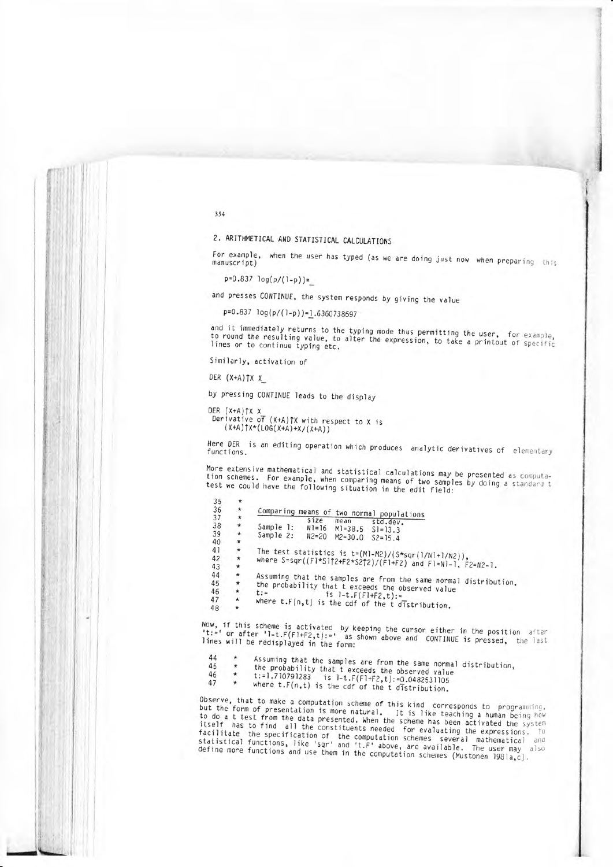2. ARITHMETICAL AND STATISTICAL CALCULATIONS

For example, when the user has typed (as we are doing just now when preparing this manuscript)

 $p=0.837 \log(p/(1-p))=$ 

and presses CONTINUE, the system responds by giving the value

p=0.837 log(p/(1-p))=1.6360738697

and it immediately returns to the typing mode thus permitting the user, for example, to round the resulting value, to alter the expression, to take a printout of specific lines or to continue typing etc.

Similarly, activation of

DER  $(X+A)$   $\uparrow$   $X$   $X$ 

 $2r$ 

by pressing CONTINUE leads to the display

DER (X+A)TX X Derivative of  $(X+A)$   $\uparrow$   $X$  with respect to  $X$  is  $(X+A)$   $\uparrow$   $X*(LOG(X+A)+X/(X+A))$ 

Here DER is an editing operation which produces analytic derivatives of elementary functions.

More extensive mathematical and statistical calculations may be presented as computation schemes. For example, when comparing means of two samples by doing a standard t test we could have the following situation in the edit field:

| JJ. | $\sim$     |                                                                  |  |  |  |  |  |  |
|-----|------------|------------------------------------------------------------------|--|--|--|--|--|--|
| 36  | $\star$    | Comparing means of two normal populations                        |  |  |  |  |  |  |
| 37  | $^{\star}$ | size<br>mean                                                     |  |  |  |  |  |  |
| 38  | *          | std.dev.<br>Sample 1: N1=16 M1=38.5 S1=13.3                      |  |  |  |  |  |  |
| 39  | *          | Sample 2: N2=20 M2=30.0 S2=15.4                                  |  |  |  |  |  |  |
| 40  | *          |                                                                  |  |  |  |  |  |  |
| 41  | $\star$    | The test statistics is $t=(M1-M2)/(5*sqrt(1/N1+1/N2))$ ,         |  |  |  |  |  |  |
| 42  | *          |                                                                  |  |  |  |  |  |  |
| 43  | $\star$    | where S=sqr((F1*S112+F2*S212)/(F1+F2) and F1=N1-1, F2=N2-1.      |  |  |  |  |  |  |
| 44  | $\star$    |                                                                  |  |  |  |  |  |  |
| 45  | $\star$    | Assuming that the samples are from the same normal distribution, |  |  |  |  |  |  |
| 46  | $\star$    | the probability that t exceeds the observed value<br>$t :=$      |  |  |  |  |  |  |
| 47  | $\star$    | is $1-t.F(F1+f2,t):=$                                            |  |  |  |  |  |  |
| 48  | *          | where $t.F(n, t)$ is the cdf of the $t$ distribution.            |  |  |  |  |  |  |

Now, if this scheme is activated by keeping the cursor either in the position after 't:=' or after '1-t.F(F1+F2,t):=' as shown above and CONTINUE is pressed, the last lines will be redisplayed in the form:

44 Assuming that the samples are from the same normal distribution, 45

- the probability that t exceeds the observed value 46
- t:=1.710791283 is 1-t. $F(F1+F2,t):=0.0482531105$ 47

where  $t.F(n,t)$  is the cdf of the  $t$  distribution.

Observe, that to make a computation scheme of this kind corresponds to programming, but the form of presentation is more natural. It is like teaching a human being how to do a t test from the data presented. When the scheme has been activated the system itself has to find all the constituents needed for evaluating the expressions. To facilitate the specification of the computation schemes several mathematical and<br>statistical functions, like 'sqr' and 't.F' above, are available. The user may also define more functions and use them in the computation schemes (Mustonen 1981a,c).

354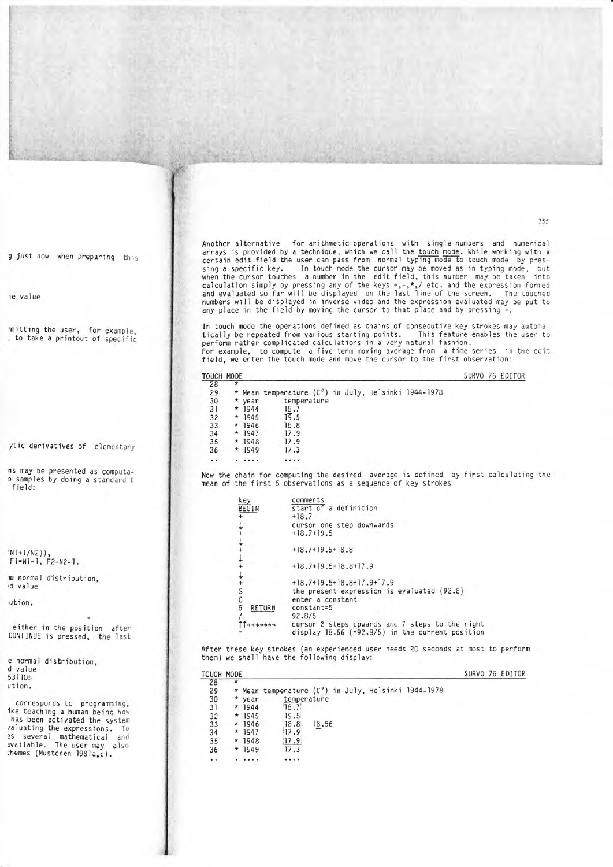Another alternative for arithmetic operations with single numbers and numerical arrays is provided by a technique, which we call the touch mode. While working with a certain edit field the user can pass from normal typing mode to touch mode by pres-<br>sing a specific key. In touch mode the cursor may be moved as in typing mode, but In touch mode the cursor may be moved as in typing mode, but when the cursor touches a number in the edit field, this number may be taken into calculation simply by pressing any of the keys +,-,\*,/ etc. and the expression formed<br>and evaluated so far will be displayed on the last line of the screen. The touched numbers will be displayed in inverse video and the expression evaluated may be put to any place in the field by moving the cursor to that place and by pressing  $=$ .

In touch mode the operations defined as chains of consecutive key strokes may automatically be repeated from various starting points. This feature enables the user to perform rather complicated calculations in a very natural fashion. For example, to compute a five term moving average fron a time series in the edjt field, we enter the touch mode and move the cursor to the first observation:

| TOUCH MODE |            |          |                                                     |  | SURVO 76 EDITOR |
|------------|------------|----------|-----------------------------------------------------|--|-----------------|
| 28         |            |          |                                                     |  |                 |
| 29         |            |          | * Mean temperature (C°) in July, Helsinki 1944-1978 |  |                 |
| 30         |            | * year   | temperature                                         |  |                 |
| 31         | $^{\star}$ | 1944     | 18.7                                                |  |                 |
| 32         |            | $* 1945$ | 19.5                                                |  |                 |
| 33         |            | $* 1946$ | 18.8                                                |  |                 |
| 34         |            | $* 1947$ | 17.9                                                |  |                 |
| 35         |            | $* 1948$ | 17.9                                                |  |                 |
| 36         |            | $* 1949$ | 17.3                                                |  |                 |
| $\cdots$   |            | .        |                                                     |  |                 |

Now the chain for computing the desired average is defined by first calculating the nean of the first 5 observations as a sequence of key strokes

| key                | comments                                          |
|--------------------|---------------------------------------------------|
| <b>BEGIN</b>       | start of a definition                             |
|                    | $+18.7$                                           |
|                    | cursor one step downwards                         |
|                    | $+18.7+19.5$                                      |
|                    |                                                   |
|                    | $+18.7+19.5+18.8$                                 |
|                    |                                                   |
|                    | $+18.7+19.5+18.8+17.9$                            |
|                    |                                                   |
|                    | $+18.7+19.5+18.8+17.9+17.9$                       |
|                    | the present expression is evaluated (92.8)        |
| $\mathsf C$        | enter a constant                                  |
| 5<br><b>RETURN</b> | $constant = 5$                                    |
|                    | 92.8/5                                            |
|                    | cursor 2 steps upwards and 7 steps to the right   |
|                    | display $18.56$ (=92.8/5) in the current position |

After these key strokes (an experienced user needs 20 seconds at most to perform them) we shall have the following display:

| TOUCH MODE    |   |          |                                                     |       |  |  | SURVO 76 EDITOR |
|---------------|---|----------|-----------------------------------------------------|-------|--|--|-----------------|
| 28            |   |          |                                                     |       |  |  |                 |
| 29            |   |          | * Mean temperature (C°) in July, Helsinki 1944-1978 |       |  |  |                 |
| 30            |   | * year   | temperature                                         |       |  |  |                 |
| 31            | * | 1944     | 18.7                                                |       |  |  |                 |
| 32            |   | $* 1945$ | 19.5                                                |       |  |  |                 |
| 33            |   | $* 1946$ | 18.8                                                | 18.56 |  |  |                 |
| 34            |   | $* 1947$ | 17.9                                                |       |  |  |                 |
| 35            |   | $* 1948$ | 17.9                                                |       |  |  |                 |
| 36            |   | $* 1949$ | 17.3                                                |       |  |  |                 |
| $\sim$ $\sim$ |   | $\cdots$ | .                                                   |       |  |  |                 |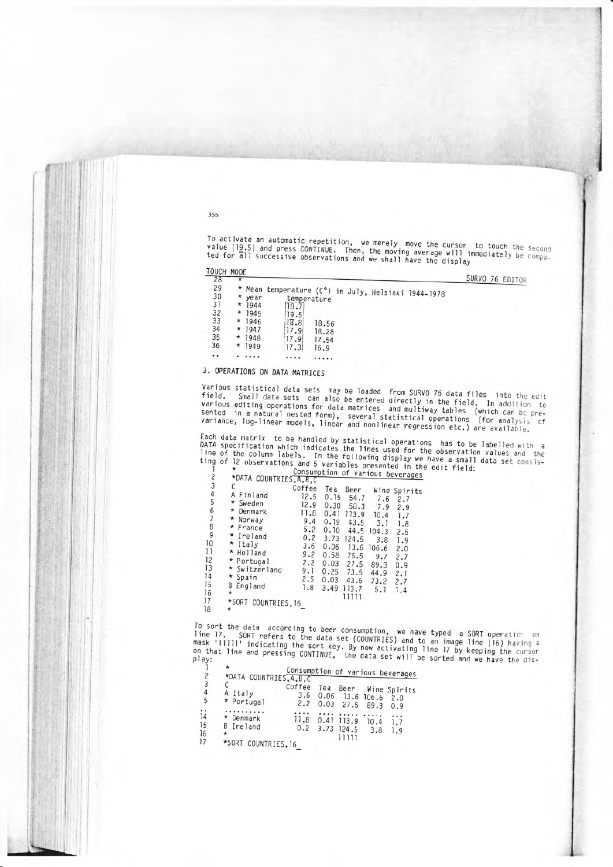To activate an automatic repetition, we merely move the cursor to touch the second value (19.5) and press CONTINUE. Then, the moving average will immediately be compu-<br>ted for all successive observations and we shall have the display

TOUCH MODE  $2R$ 

SURVO 76 EDITOR

| --  |          |                                                     |       |  |  |
|-----|----------|-----------------------------------------------------|-------|--|--|
| 29  |          | * Mean temperature (C°) in July, Helsinki 1944-1978 |       |  |  |
| 30  | * year   | temperature                                         |       |  |  |
| 31  | $* 1944$ | 18.7                                                |       |  |  |
| 32  | $* 1945$ | 19.5                                                |       |  |  |
| 33  | $* 1946$ | 18.8                                                | 18.56 |  |  |
| 34  | $* 1947$ | 17.9                                                | 18.28 |  |  |
| 35  | $* 1948$ | 17.9                                                | 17.54 |  |  |
| 36  | $* 1949$ | 17.3                                                | 16.9  |  |  |
| . . |          |                                                     |       |  |  |
|     |          |                                                     |       |  |  |

# 3. OPERATIONS ON DATA MATRICES

Various statistical data sets may be loaded from SURVO 76 data files into the edit Small data sets can also be entered directly in the field. In addition to various editing operations for data matrices and multiway tables (which can be pre-<br>sented in a natural nested form), several statistical operations (for analysis of variance, log-linear models, linear and nonlinear regression etc.) are available.

Each data matrix to be handled by statistical operations has to be labelled with a DATA specification which indicates the lines used for the observation values and the line of the column labels. In the following display we have a small data set consisting of 12 observations and 5 variables presented in the edit field:

| $\overline{\mathcal{E}}$              | *DATA COUNTRIES, A, B, C |        |      |       |       | Consumption of various beverages |
|---------------------------------------|--------------------------|--------|------|-------|-------|----------------------------------|
| 3                                     | С                        | Coffee | Tea  | Beer  |       | Wine Spirits                     |
| 4                                     | Finland                  | 12.5   | 0.15 | 54.7  | 7.6   | 2.7                              |
| 5                                     | Sweden<br>*              | 12.9   | 0.30 | 58.3  | 7.9   |                                  |
| $\begin{array}{c} 6 \\ 7 \end{array}$ | Denmark                  | 11.8   | 0.41 | 113.9 | 10.4  | 2.9<br>1.7                       |
|                                       | *<br>Norway              | 9.4    | 0.19 | 43.5  | 3.1   |                                  |
| 8                                     | * France                 | 5.2    | 0.10 | 44.5  | 104.3 | 1.8                              |
| 9                                     | * Ireland                | 0.2    | 3.73 | 124.5 |       | 2.5                              |
| 10                                    | * Italy                  | 3.6    | 0.06 |       | 3.8   | 1.9                              |
| 11                                    | * Holland                | 9.2    | 0.58 | 13.6  | 106.6 | 2.0                              |
| 12                                    | * Portugal               | 2.2    |      | 75.5  | 9.7   | 2.7                              |
| 13                                    | * Switzerland            |        | 0.03 | 27.5  | 89.3  | 0.9                              |
| 14                                    | * Spain                  | 9.1    | 0.25 | 73.5  | 44.9  | 2.1                              |
| 15                                    | B<br>England             | 2.5    | 0.03 | 43.6  | 73.2  | 2.7                              |
| 16                                    | $\star$                  | 1.8    | 3.49 | 113.7 | 5.1   | 1.4                              |
| 17                                    |                          |        |      | 11111 |       |                                  |
| 18                                    | *SORT COUNTRIES, 16<br>* |        |      |       |       |                                  |

To sort the data according to beer consumption, we have typed a SORT operation on line 17. SORT refers to the data set (COUNTRIES) and to an image line (16) having a mask 'lllll' indicating the sort key. By now activating line 17 by keeping the cursor on that line and pressing CONTINUE, the data set will be sorted and we have the dis-

|                                  |                                             |                      |     |                                        |             | Consumption of various beverages |
|----------------------------------|---------------------------------------------|----------------------|-----|----------------------------------------|-------------|----------------------------------|
| $\overline{c}$                   | *DATA COUNTRIES, A, B, C                    |                      |     |                                        |             |                                  |
| 3<br>$\overline{4}$<br>5         | A Italy<br>* Portugal                       | Coffee<br>3.6<br>2.2 | Tea | Beer<br>0.06 13.6 106.6<br>$0.03$ 27.5 | 89.3        | Wine Spirits<br>2.0<br>0.9       |
| $\frac{1}{14}$<br>15<br>16<br>17 | Denmark<br>B Ireland<br>*SORT COUNTRIES, 16 | 11.8                 |     | 0.41 113.9<br>0.2 3.73 124.5           | 10.4<br>3.8 | 1.7<br>1.9                       |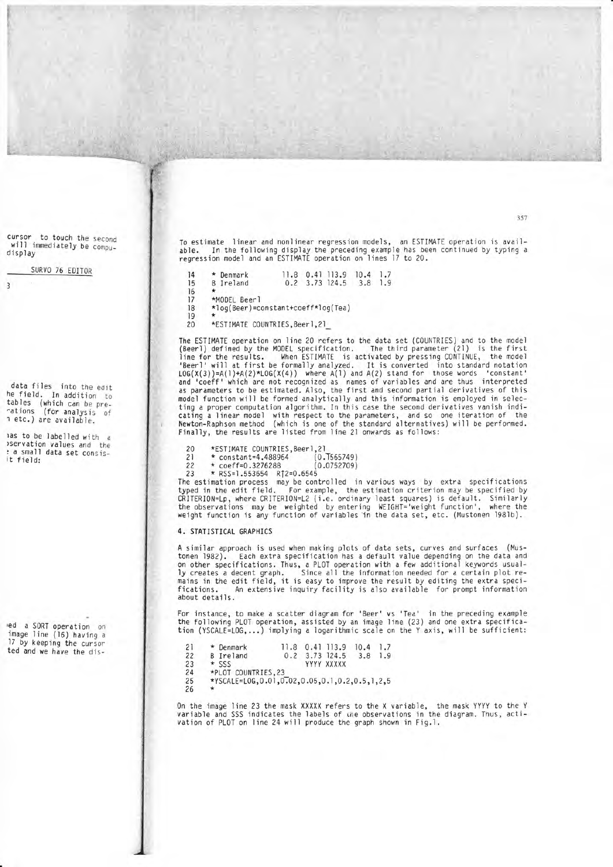To estimate linear and nonlinear regression models, an ESTIMATE operation is avail-<br>able. In the following display the preceding example has been continued by typing a In the following display the preceding example has been continued by typing a regression model and an ESTIMATE operation on lines 17 to 20.

| 14 | * Denmark                          | 11.8 |  | 0.41 113.9       | 10.4 | 1.7 |  |  |
|----|------------------------------------|------|--|------------------|------|-----|--|--|
| 15 | <b>B</b> Ireland                   |      |  | $0.2$ 3.73 124.5 | 3.8  | 1.9 |  |  |
| 16 |                                    |      |  |                  |      |     |  |  |
| 17 | *MODEL Beerl                       |      |  |                  |      |     |  |  |
| 18 | *log(Beer)=constant+coeff*log(Tea) |      |  |                  |      |     |  |  |
| 19 |                                    |      |  |                  |      |     |  |  |
| 20 | *ESTIMATE COUNTRIES, Beer1, 21     |      |  |                  |      |     |  |  |

The ESTIMATE operation on line 20 refers to the data set (CoUNTRIES) and to the model (Beerl) defined by the MODEL specification. The third parameter (21) is the first line for the results. When ESTIMATE is activated by pressing CONTINUE, the model 'Beerl'will at first be formally analyzed. It is converted jnto standard notation LOG(X(3))=A(1)+A(2)\*LOG(X(4)) where A(1) and A(2) stand for those words 'constant'<br>and 'coeff' which are not recognized as names of variables and are thus interpreted as parameters to be estimated. Also, the first and second partial derivatives of this model function will be formed analytically and this infornation is employed in selecting a proper computation algorithm. In this case the second derivatives vanish indicating a linear model with respect to the parameters, and so one iteration of the l{ewton-Raphson method (which is one of the standard alternatives) wjll be performed. Finaily, the results are listed from line 2l onwards as follows:

- 
- 
- 20 \*ESTIMATE COUNTRIES, Beer1, 21<br>21 \* constant=4.488964 (0.T565749)<br>22 \* coeff=0.3276288 (0.0752709)
- 

<sup>22</sup>\* coeff=0.3276288 (0.0752709) <sup>23</sup>\* RSS=I .553654 Rf2=0.6545 The estimation pnocess may be controlled in various ways by extra specifications typed in the edit field. For example, the estimation criterion may be specified by CRITERIoN=Lp, where CRITERI0N=12 (i.e. ordinary least squares) is default, Sirnilarly the observations may be weighted by entering WEIGHT='weight function', where the weight function is any function of variables in the data set, etc. (Mustonen 1981b).

### 4. STATISTICAL GRAPHICS

A similar approach is used when making plots of data sets, curves and surfaces (Mustonen 1982). Each extra specification has a default value depending on the data and on other specifications. Thus, a PLOT operation with a few additional keywords usually creates a decent graph. Since all the information needed for a certain plot remains in the edit field, it is easy to improve the result by editing the extra speci- fications. An extensive inquiry facility is also avajlable for prompt information about details.

For instance, to make a scatter diagram for 'Beer'vs 'Tea' in the preceding example the following PLOT operation, assisted by an image line (23) and one extra specification (YSCALE=LOG,...) implying a logarithmic scale on the Y axis, will be sufficient

| 21 | * Denmark                                             | 11.8 | 0.41 113.9 | 10.4 | 1.7 |
|----|-------------------------------------------------------|------|------------|------|-----|
| 22 | <b>B</b> Ireland                                      | 0.2  | 3.73 124.5 | 3.8  | 1.9 |
| 23 | $\star$ SSS                                           |      | YYYY XXXXX |      |     |
| 24 | *PLOT COUNTRIES.23                                    |      |            |      |     |
| 25 | *YSCALE=L0G, 0.01, 0.02, 0.05, 0.1, 0.2, 0.5, 1, 2, 5 |      |            |      |     |
| 26 |                                                       |      |            |      |     |
|    |                                                       |      |            |      |     |

0n the image line 23 the mask XXXXX refers to the X variable, the mask YYYY to the <sup>Y</sup> variable and SSS indicates the labels of che observations in the diagram. Thus, activation of PL0T on line 24 will produce the graph shoun in Fig.l.